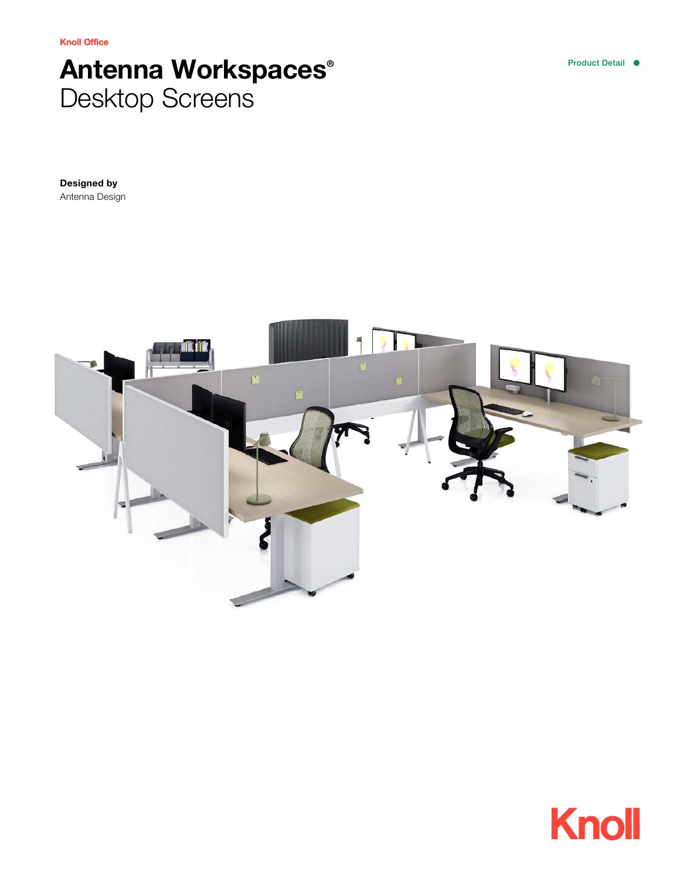Knoll Office

# Antenna Workspaces® Desktop Screens

Designed by Antenna Design